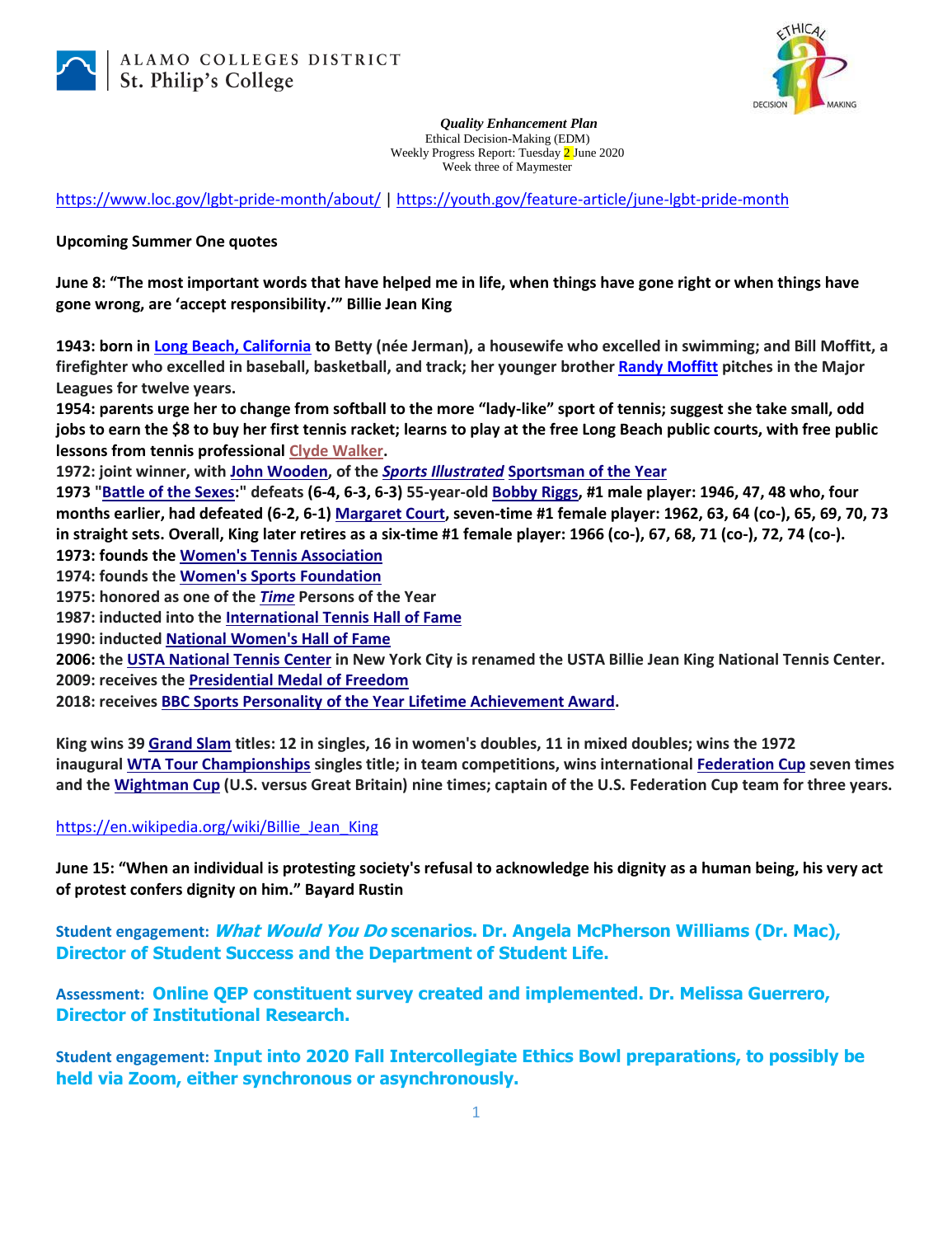



*Quality Enhancement Plan* Ethical Decision-Making (EDM) Weekly Progress Report: Tuesday 2 June 2020 Week three of Maymester

<https://www.loc.gov/lgbt-pride-month/about/> |<https://youth.gov/feature-article/june-lgbt-pride-month>

## **Upcoming Summer One quotes**

**June 8: "The most important words that have helped me in life, when things have gone right or when things have gone wrong, are 'accept responsibility.'" Billie Jean King**

**1943: born in [Long Beach, California](https://en.wikipedia.org/wiki/Long_Beach,_California) to Betty (née Jerman), a housewife who excelled in swimming; and Bill Moffitt, a firefighter who excelled in baseball, basketball, and track; her younger brothe[r Randy Moffitt](https://en.wikipedia.org/wiki/Randy_Moffitt) pitches in the Major Leagues for twelve years.**

**1954: parents urge her to change from softball to the more "lady-like" sport of tennis; suggest she take small, odd jobs to earn the \$8 to buy her first tennis racket; learns to play at the free Long Beach public courts, with free public lessons from tennis professional [Clyde Walker.](https://en.wikipedia.org/w/index.php?title=Clyde_Walker&action=edit&redlink=1)**

**1972: joint winner, with [John Wooden,](https://en.wikipedia.org/wiki/John_Wooden) of the** *[Sports Illustrated](https://en.wikipedia.org/wiki/Sports_Illustrated)* **[Sportsman of the Year](https://en.wikipedia.org/wiki/Sportsman_of_the_Year)**

**1973 ["Battle of the Sexes:](https://en.wikipedia.org/wiki/Battle_of_the_Sexes_(tennis))" defeats (6-4, 6-3, 6-3) 55-year-old [Bobby Riggs,](https://en.wikipedia.org/wiki/Bobby_Riggs) #1 male player: 1946, 47, 48 who, four months earlier, had defeated (6-2, 6-1) [Margaret Court,](https://en.wikipedia.org/wiki/Margaret_Court) seven-time #1 female player: 1962, 63, 64 (co-), 65, 69, 70, 73 in straight sets. Overall, King later retires as a six-time #1 female player: 1966 (co-), 67, 68, 71 (co-), 72, 74 (co-). 1973: founds the [Women's Tennis Association](https://en.wikipedia.org/wiki/Women%27s_Tennis_Association)**

**1974: founds the [Women's Sports Foundation](https://en.wikipedia.org/wiki/Women%27s_Sports_Foundation)**

**1975: honored as one of the** *[Time](https://en.wikipedia.org/wiki/Time_(magazine))* **Persons of the Year**

**1987: inducted into the [International Tennis Hall of Fame](https://en.wikipedia.org/wiki/International_Tennis_Hall_of_Fame)**

**1990: inducte[d National Women's Hall of Fame](https://en.wikipedia.org/wiki/National_Women%27s_Hall_of_Fame)**

**2006: the [USTA National Tennis Center](https://en.wikipedia.org/wiki/USTA_National_Tennis_Center) in New York City is renamed the USTA Billie Jean King National Tennis Center. 2009: receives th[e Presidential Medal of Freedom](https://en.wikipedia.org/wiki/Presidential_Medal_of_Freedom)**

**2018: receive[s BBC Sports Personality of the Year Lifetime Achievement Award.](https://en.wikipedia.org/wiki/BBC_Sports_Personality_of_the_Year_Lifetime_Achievement_Award)**

**King wins 39 [Grand Slam](https://en.wikipedia.org/wiki/Grand_Slam_(tennis)) titles: 12 in singles, 16 in women's doubles, 11 in mixed doubles; wins the 1972 inaugural [WTA Tour Championships](https://en.wikipedia.org/wiki/WTA_Tour_Championships) singles title; in team competitions, wins international [Federation Cup](https://en.wikipedia.org/wiki/Fed_Cup) seven times and the [Wightman Cup](https://en.wikipedia.org/wiki/Wightman_Cup) (U.S. versus Great Britain) nine times; captain of the U.S. Federation Cup team for three years.**

## [https://en.wikipedia.org/wiki/Billie\\_Jean\\_King](https://en.wikipedia.org/wiki/Billie_Jean_King)

**June 15: "When an individual is protesting society's refusal to acknowledge his dignity as a human being, his very act of protest confers dignity on him." Bayard Rustin**

**Student engagement: What Would You Do scenarios. Dr. Angela McPherson Williams (Dr. Mac), Director of Student Success and the Department of Student Life.**

**Assessment: Online QEP constituent survey created and implemented. Dr. Melissa Guerrero, Director of Institutional Research.**

**Student engagement: Input into 2020 Fall Intercollegiate Ethics Bowl preparations, to possibly be held via Zoom, either synchronous or asynchronously.**